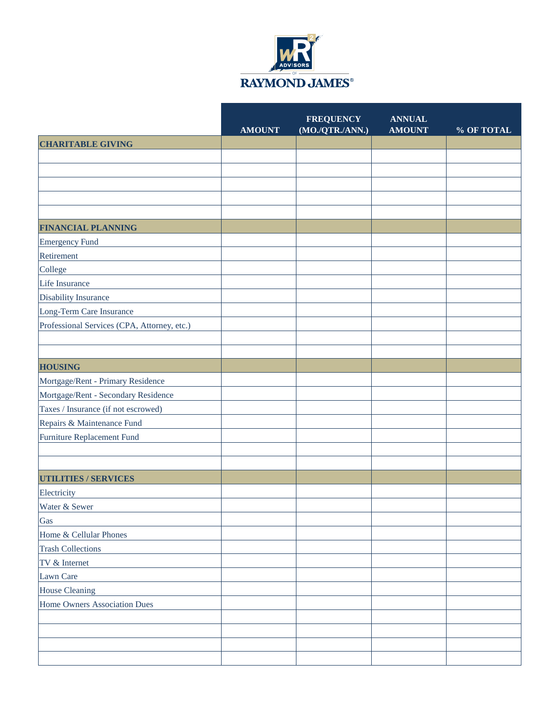

|                                             | <b>AMOUNT</b> | <b>FREQUENCY</b><br>(MO./QTR./ANN.) | <b>ANNUAL</b><br><b>AMOUNT</b> | % OF TOTAL |
|---------------------------------------------|---------------|-------------------------------------|--------------------------------|------------|
| <b>CHARITABLE GIVING</b>                    |               |                                     |                                |            |
|                                             |               |                                     |                                |            |
|                                             |               |                                     |                                |            |
|                                             |               |                                     |                                |            |
|                                             |               |                                     |                                |            |
|                                             |               |                                     |                                |            |
| <b>FINANCIAL PLANNING</b>                   |               |                                     |                                |            |
| Emergency Fund                              |               |                                     |                                |            |
| Retirement                                  |               |                                     |                                |            |
| College                                     |               |                                     |                                |            |
| Life Insurance                              |               |                                     |                                |            |
| Disability Insurance                        |               |                                     |                                |            |
| Long-Term Care Insurance                    |               |                                     |                                |            |
| Professional Services (CPA, Attorney, etc.) |               |                                     |                                |            |
|                                             |               |                                     |                                |            |
|                                             |               |                                     |                                |            |
| <b>HOUSING</b>                              |               |                                     |                                |            |
| Mortgage/Rent - Primary Residence           |               |                                     |                                |            |
| Mortgage/Rent - Secondary Residence         |               |                                     |                                |            |
| Taxes / Insurance (if not escrowed)         |               |                                     |                                |            |
| Repairs & Maintenance Fund                  |               |                                     |                                |            |
| Furniture Replacement Fund                  |               |                                     |                                |            |
|                                             |               |                                     |                                |            |
|                                             |               |                                     |                                |            |
| <b>UTILITIES / SERVICES</b>                 |               |                                     |                                |            |
| Electricity                                 |               |                                     |                                |            |
| Water & Sewer                               |               |                                     |                                |            |
| Gas                                         |               |                                     |                                |            |
| Home & Cellular Phones                      |               |                                     |                                |            |
| <b>Trash Collections</b>                    |               |                                     |                                |            |
| TV & Internet                               |               |                                     |                                |            |
| Lawn Care                                   |               |                                     |                                |            |
| <b>House Cleaning</b>                       |               |                                     |                                |            |
| Home Owners Association Dues                |               |                                     |                                |            |
|                                             |               |                                     |                                |            |
|                                             |               |                                     |                                |            |
|                                             |               |                                     |                                |            |
|                                             |               |                                     |                                |            |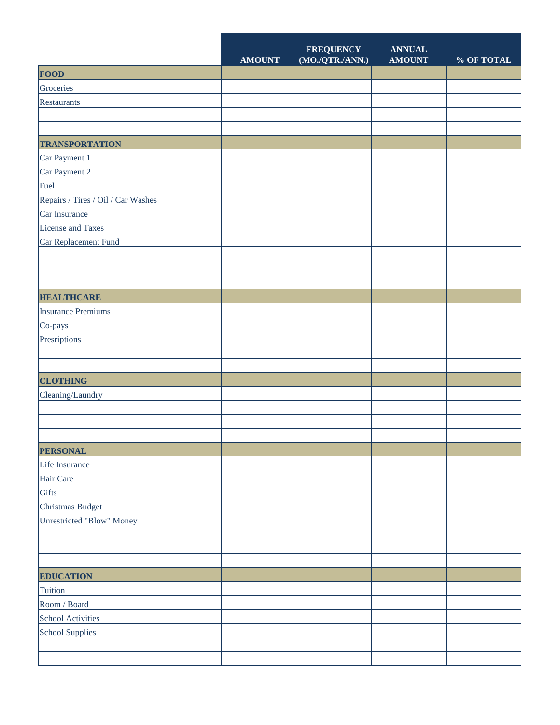|                                    | <b>AMOUNT</b> | <b>FREQUENCY</b><br>$(\bf MO./QTR./ANN.)$ | <b>ANNUAL</b><br><b>AMOUNT</b> | % OF TOTAL |
|------------------------------------|---------------|-------------------------------------------|--------------------------------|------------|
| <b>FOOD</b>                        |               |                                           |                                |            |
| Groceries                          |               |                                           |                                |            |
| Restaurants                        |               |                                           |                                |            |
|                                    |               |                                           |                                |            |
|                                    |               |                                           |                                |            |
| <b>TRANSPORTATION</b>              |               |                                           |                                |            |
| Car Payment 1                      |               |                                           |                                |            |
| Car Payment 2                      |               |                                           |                                |            |
| Fuel                               |               |                                           |                                |            |
| Repairs / Tires / Oil / Car Washes |               |                                           |                                |            |
| Car Insurance                      |               |                                           |                                |            |
| License and Taxes                  |               |                                           |                                |            |
| Car Replacement Fund               |               |                                           |                                |            |
|                                    |               |                                           |                                |            |
|                                    |               |                                           |                                |            |
|                                    |               |                                           |                                |            |
| <b>HEALTHCARE</b>                  |               |                                           |                                |            |
| <b>Insurance Premiums</b>          |               |                                           |                                |            |
| Co-pays                            |               |                                           |                                |            |
| Presriptions                       |               |                                           |                                |            |
|                                    |               |                                           |                                |            |
|                                    |               |                                           |                                |            |
| <b>CLOTHING</b>                    |               |                                           |                                |            |
| Cleaning/Laundry                   |               |                                           |                                |            |
|                                    |               |                                           |                                |            |
|                                    |               |                                           |                                |            |
|                                    |               |                                           |                                |            |
| <b>PERSONAL</b>                    |               |                                           |                                |            |
| Life Insurance                     |               |                                           |                                |            |
| Hair Care                          |               |                                           |                                |            |
| Gifts                              |               |                                           |                                |            |
| Christmas Budget                   |               |                                           |                                |            |
| Unrestricted "Blow" Money          |               |                                           |                                |            |
|                                    |               |                                           |                                |            |
|                                    |               |                                           |                                |            |
|                                    |               |                                           |                                |            |
| <b>EDUCATION</b>                   |               |                                           |                                |            |
| Tuition                            |               |                                           |                                |            |
| Room / Board                       |               |                                           |                                |            |
| School Activities                  |               |                                           |                                |            |
| <b>School Supplies</b>             |               |                                           |                                |            |
|                                    |               |                                           |                                |            |
|                                    |               |                                           |                                |            |